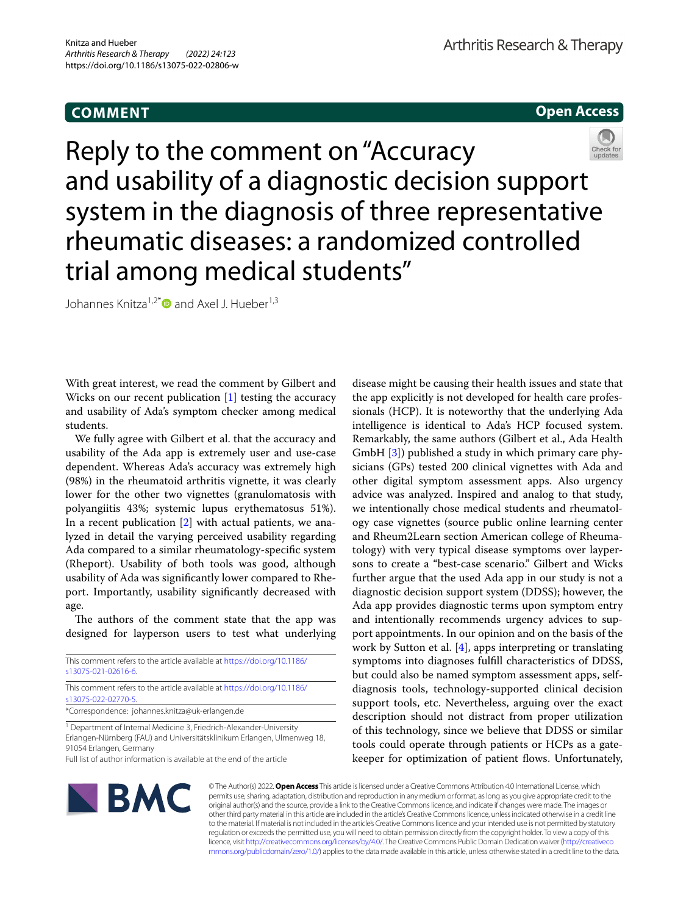# **COMMENT**

**Open Access**



Reply to the comment on "Accuracy and usability of a diagnostic decision support system in the diagnosis of three representative rheumatic diseases: a randomized controlled trial among medical students"

Johannes Knitza<sup>1,2\*</sup> and Axel J. Hueber<sup>1,3</sup>

With great interest, we read the comment by Gilbert and Wicks on our recent publication [[1\]](#page-1-0) testing the accuracy and usability of Ada's symptom checker among medical students.

We fully agree with Gilbert et al. that the accuracy and usability of the Ada app is extremely user and use-case dependent. Whereas Ada's accuracy was extremely high (98%) in the rheumatoid arthritis vignette, it was clearly lower for the other two vignettes (granulomatosis with polyangiitis 43%; systemic lupus erythematosus 51%). In a recent publication [\[2](#page-1-1)] with actual patients, we analyzed in detail the varying perceived usability regarding Ada compared to a similar rheumatology-specifc system (Rheport). Usability of both tools was good, although usability of Ada was signifcantly lower compared to Rheport. Importantly, usability signifcantly decreased with age.

The authors of the comment state that the app was designed for layperson users to test what underlying

| This comment refers to the article available at https://doi.org/10.1186/<br>s13075-021-02616-6. |
|-------------------------------------------------------------------------------------------------|
| This comment refers to the article available at https://doi.org/10.1186/                        |
| s13075-022-02770-5.                                                                             |
| *Correspondence: johannes.knitza@uk-erlangen.de                                                 |

<sup>1</sup> Department of Internal Medicine 3, Friedrich-Alexander-University Erlangen-Nürnberg (FAU) and Universitätsklinikum Erlangen, Ulmenweg 18, 91054 Erlangen, Germany

Full list of author information is available at the end of the article

disease might be causing their health issues and state that the app explicitly is not developed for health care professionals (HCP). It is noteworthy that the underlying Ada intelligence is identical to Ada's HCP focused system. Remarkably, the same authors (Gilbert et al., Ada Health GmbH [[3\]](#page-1-2)) published a study in which primary care physicians (GPs) tested 200 clinical vignettes with Ada and other digital symptom assessment apps. Also urgency advice was analyzed. Inspired and analog to that study, we intentionally chose medical students and rheumatology case vignettes (source public online learning center and Rheum2Learn section American college of Rheumatology) with very typical disease symptoms over laypersons to create a "best-case scenario." Gilbert and Wicks further argue that the used Ada app in our study is not a diagnostic decision support system (DDSS); however, the Ada app provides diagnostic terms upon symptom entry and intentionally recommends urgency advices to support appointments. In our opinion and on the basis of the work by Sutton et al. [[4](#page-1-3)], apps interpreting or translating symptoms into diagnoses fulfll characteristics of DDSS, but could also be named symptom assessment apps, selfdiagnosis tools, technology-supported clinical decision support tools, etc. Nevertheless, arguing over the exact description should not distract from proper utilization of this technology, since we believe that DDSS or similar tools could operate through patients or HCPs as a gatekeeper for optimization of patient flows. Unfortunately,



© The Author(s) 2022. **Open Access** This article is licensed under a Creative Commons Attribution 4.0 International License, which permits use, sharing, adaptation, distribution and reproduction in any medium or format, as long as you give appropriate credit to the original author(s) and the source, provide a link to the Creative Commons licence, and indicate if changes were made. The images or other third party material in this article are included in the article's Creative Commons licence, unless indicated otherwise in a credit line to the material. If material is not included in the article's Creative Commons licence and your intended use is not permitted by statutory regulation or exceeds the permitted use, you will need to obtain permission directly from the copyright holder. To view a copy of this licence, visit [http://creativecommons.org/licenses/by/4.0/.](http://creativecommons.org/licenses/by/4.0/) The Creative Commons Public Domain Dedication waiver ([http://creativeco](http://creativecommons.org/publicdomain/zero/1.0/) [mmons.org/publicdomain/zero/1.0/](http://creativecommons.org/publicdomain/zero/1.0/)) applies to the data made available in this article, unless otherwise stated in a credit line to the data.